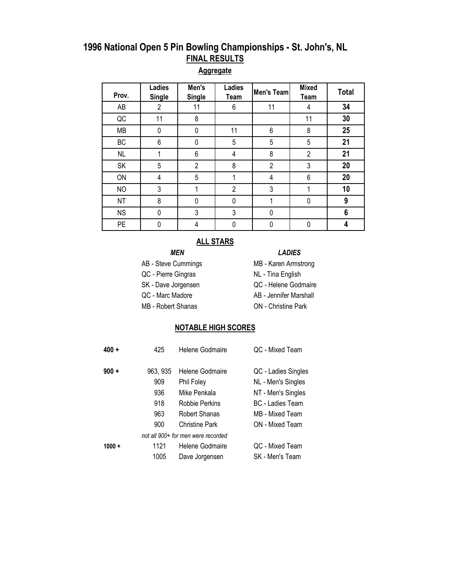#### **Aggregate**

| Prov.     | Ladies<br><b>Single</b> | Men's<br><b>Single</b> | Ladies<br>Team | Men's Team     | <b>Mixed</b><br>Team | <b>Total</b> |
|-----------|-------------------------|------------------------|----------------|----------------|----------------------|--------------|
| AB        | $\overline{2}$          | 11                     | 6              | 11             | 4                    | 34           |
| QC        | 11                      | 8                      |                |                | 11                   | 30           |
| MB        | 0                       | 0                      | 11             | 6              | 8                    | 25           |
| BC        | 6                       | 0                      | 5              | 5              | 5                    | 21           |
| <b>NL</b> |                         | 6                      | 4              | 8              | $\overline{2}$       | 21           |
| SK        | 5                       | $\overline{2}$         | 8              | $\overline{2}$ | 3                    | 20           |
| ON        | 4                       | 5                      |                | 4              | 6                    | 20           |
| <b>NO</b> | 3                       |                        | $\overline{2}$ | 3              |                      | 10           |
| <b>NT</b> | 8                       | $\Omega$               | 0              |                | 0                    | 9            |
| <b>NS</b> | 0                       | 3                      | 3              | 0              |                      | 6            |
| <b>PE</b> | 0                       | 4                      |                | 0              | 0                    | 4            |

#### **ALL STARS**

- *MEN LADIES*
- AB Steve Cummings MB Karen Armstrong
- QC Pierre Gingras NL Tina English
- SK Dave Jorgensen **QC Helene Godmaire**
- QC Marc Madore AB Jennifer Marshall
- MB Robert Shanas **ON** Christine Park

- 
- 
- 

#### **NOTABLE HIGH SCORES**

| $400 +$  | 425             | Helene Godmaire                    | QC - Mixed Team                           |
|----------|-----------------|------------------------------------|-------------------------------------------|
| $900 +$  | 963, 935<br>909 | Helene Godmaire<br>Phil Foley      | QC - Ladies Singles<br>NL - Men's Singles |
|          | 936             | Mike Penkala                       | NT - Men's Singles                        |
|          | 918             | Robbie Perkins                     | <b>BC</b> - Ladies Team                   |
|          | 963             | Robert Shanas                      | MB - Mixed Team                           |
|          | 900             | <b>Christine Park</b>              | ON - Mixed Team                           |
|          |                 | not all 900+ for men were recorded |                                           |
| $1000 +$ | 1121            | Helene Godmaire                    | QC - Mixed Team                           |
|          | 1005            | Dave Jorgensen                     | SK - Men's Team                           |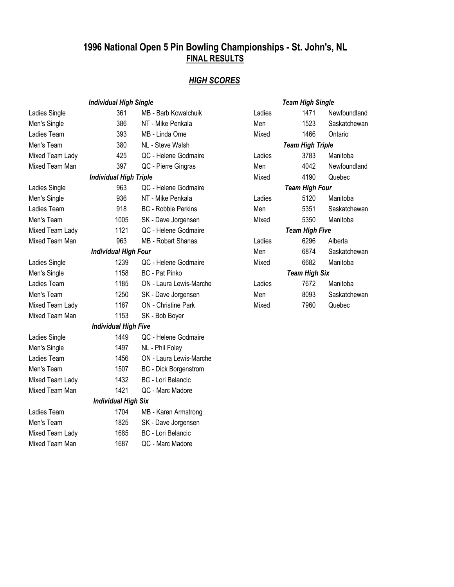#### *HIGH SCORES*

|                    | <b>Individual High Single</b> |                              |        | <b>Team High Single</b> |              |
|--------------------|-------------------------------|------------------------------|--------|-------------------------|--------------|
| Ladies Single      | 361                           | <b>MB</b> - Barb Kowalchuik  | Ladies | 1471                    | Newfoundland |
| Men's Single       | 386                           | NT - Mike Penkala            | Men    | 1523                    | Saskatchewan |
| Ladies Team        | 393                           | MB - Linda Orne              | Mixed  | 1466                    | Ontario      |
| Men's Team         | 380                           | NL - Steve Walsh             |        | <b>Team High Triple</b> |              |
| Mixed Team Lady    | 425                           | QC - Helene Godmaire         | Ladies | 3783                    | Manitoba     |
| Mixed Team Man     | 397                           | QC - Pierre Gingras          | Men    | 4042                    | Newfoundland |
|                    | <b>Individual High Triple</b> |                              | Mixed  | 4190                    | Quebec       |
| Ladies Single      | 963                           | QC - Helene Godmaire         |        | <b>Team High Four</b>   |              |
| Men's Single       | 936                           | NT - Mike Penkala            | Ladies | 5120                    | Manitoba     |
| <b>Ladies Team</b> | 918                           | <b>BC</b> - Robbie Perkins   | Men    | 5351                    | Saskatchewan |
| Men's Team         | 1005                          | SK - Dave Jorgensen          | Mixed  | 5350                    | Manitoba     |
| Mixed Team Lady    | 1121                          | QC - Helene Godmaire         |        | <b>Team High Five</b>   |              |
| Mixed Team Man     | 963                           | MB - Robert Shanas           | Ladies | 6296                    | Alberta      |
|                    | <b>Individual High Four</b>   |                              | Men    | 6874                    | Saskatchewan |
| Ladies Single      | 1239                          | QC - Helene Godmaire         | Mixed  | 6682                    | Manitoba     |
| Men's Single       | 1158                          | <b>BC</b> - Pat Pinko        |        | <b>Team High Six</b>    |              |
| Ladies Team        | 1185                          | ON - Laura Lewis-Marche      | Ladies | 7672                    | Manitoba     |
| Men's Team         | 1250                          | SK - Dave Jorgensen          | Men    | 8093                    | Saskatchewan |
| Mixed Team Lady    | 1167                          | <b>ON</b> - Christine Park   | Mixed  | 7960                    | Quebec       |
| Mixed Team Man     | 1153                          | SK - Bob Boyer               |        |                         |              |
|                    | <b>Individual High Five</b>   |                              |        |                         |              |
| Ladies Single      | 1449                          | QC - Helene Godmaire         |        |                         |              |
| Men's Single       | 1497                          | NL - Phil Foley              |        |                         |              |
| Ladies Team        | 1456                          | ON - Laura Lewis-Marche      |        |                         |              |
| Men's Team         | 1507                          | <b>BC</b> - Dick Borgenstrom |        |                         |              |
| Mixed Team Lady    | 1432                          | BC - Lori Belancic           |        |                         |              |
| Mixed Team Man     | 1421                          | QC - Marc Madore             |        |                         |              |
|                    | <b>Individual High Six</b>    |                              |        |                         |              |
| Ladies Team        | 1704                          | MB - Karen Armstrong         |        |                         |              |
| Men's Team         | 1825                          | SK - Dave Jorgensen          |        |                         |              |
| Mixed Team Lady    | 1685                          | <b>BC</b> - Lori Belancic    |        |                         |              |
| Mixed Team Man     | 1687                          | QC - Marc Madore             |        |                         |              |
|                    |                               |                              |        |                         |              |

| Team High Single |                         |              |  |  |  |  |  |  |
|------------------|-------------------------|--------------|--|--|--|--|--|--|
| Ladies           | 1471                    | Newfoundland |  |  |  |  |  |  |
| Men              | 1523                    | Saskatchewan |  |  |  |  |  |  |
| Mixed            | 1466                    | Ontario      |  |  |  |  |  |  |
|                  | <b>Team High Triple</b> |              |  |  |  |  |  |  |
| Ladies           | 3783                    | Manitoba     |  |  |  |  |  |  |
| Men              | 4042                    | Newfoundland |  |  |  |  |  |  |
| Mixed            | 4190                    | Quebec       |  |  |  |  |  |  |
| Team High Four   |                         |              |  |  |  |  |  |  |
| Ladies           | 5120                    | Manitoba     |  |  |  |  |  |  |
| Men              | 5351                    | Saskatchewan |  |  |  |  |  |  |
| Mixed            | 5350 - 53               | Manitoba     |  |  |  |  |  |  |
|                  | <b>Team High Five</b>   |              |  |  |  |  |  |  |
| Ladies           | 6296                    | Alberta      |  |  |  |  |  |  |
| Men              | 6874                    | Saskatchewan |  |  |  |  |  |  |
| Mixed            | 6682                    | Manitoba     |  |  |  |  |  |  |
|                  | <b>Team High Six</b>    |              |  |  |  |  |  |  |
| Ladies           | 7672                    | Manitoba     |  |  |  |  |  |  |
| Men              | 8093                    | Saskatchewan |  |  |  |  |  |  |
| Mixed            | 7960                    | Quebec       |  |  |  |  |  |  |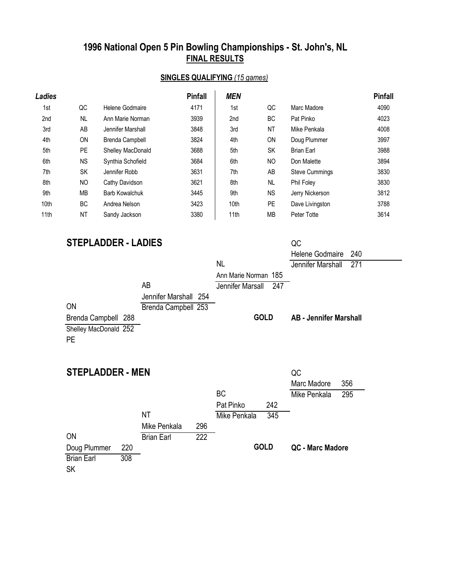#### **SINGLES QUALIFYING** *(15 games)*

| Ladies |           |                   | <b>Pinfall</b> | <b>MEN</b> |           |                       | <b>Pinfall</b> |
|--------|-----------|-------------------|----------------|------------|-----------|-----------------------|----------------|
| 1st    | QC        | Helene Godmaire   | 4171           | 1st        | QC        | Marc Madore           | 4090           |
| 2nd    | NL        | Ann Marie Norman  | 3939           | 2nd        | ВC        | Pat Pinko             | 4023           |
| 3rd    | AB        | Jennifer Marshall | 3848           | 3rd        | NT        | Mike Penkala          | 4008           |
| 4th    | ON        | Brenda Campbell   | 3824           | 4th        | ON        | Doug Plummer          | 3997           |
| 5th    | <b>PE</b> | Shelley MacDonald | 3688           | 5th        | <b>SK</b> | <b>Brian Earl</b>     | 3988           |
| 6th    | <b>NS</b> | Synthia Schofield | 3684           | 6th        | NO.       | Don Malette           | 3894           |
| 7th    | SK        | Jennifer Robb     | 3631           | 7th        | AB        | <b>Steve Cummings</b> | 3830           |
| 8th    | NO        | Cathy Davidson    | 3621           | 8th        | <b>NL</b> | Phil Foley            | 3830           |
| 9th    | MВ        | Barb Kowalchuk    | 3445           | 9th        | NS.       | Jerry Nickerson       | 3812           |
| 10th   | <b>BC</b> | Andrea Nelson     | 3423           | 10th       | <b>PE</b> | Dave Livingston       | 3788           |
| 11th   | <b>NT</b> | Sandy Jackson     | 3380           | 11th       | МB        | Peter Totte           | 3614           |

# **STEPLADDER - LADIES** QC

|                         |                       |     |                      |     | Helene Godmaire               | 240 |
|-------------------------|-----------------------|-----|----------------------|-----|-------------------------------|-----|
|                         |                       |     | <b>NL</b>            |     | Jennifer Marshall             | 271 |
|                         |                       |     | Ann Marie Norman 185 |     |                               |     |
|                         | AB                    |     | Jennifer Marsall     | 247 |                               |     |
|                         | Jennifer Marshall 254 |     |                      |     |                               |     |
| <b>ON</b>               | Brenda Campbell 253   |     |                      |     |                               |     |
| Brenda Campbell 288     |                       |     | <b>GOLD</b>          |     | <b>AB</b> - Jennifer Marshall |     |
| Shelley MacDonald 252   |                       |     |                      |     |                               |     |
| <b>PE</b>               |                       |     |                      |     |                               |     |
|                         |                       |     |                      |     |                               |     |
|                         |                       |     |                      |     |                               |     |
| <b>STEPLADDER - MEN</b> |                       |     |                      |     | QC                            |     |
|                         |                       |     |                      |     | Marc Madore                   | 356 |
|                         |                       |     | <b>BC</b>            |     | Mike Penkala                  | 295 |
|                         |                       |     | Pat Pinko            | 242 |                               |     |
|                         | <b>NT</b>             |     | Mike Penkala         | 345 |                               |     |
|                         | Mike Penkala          | 296 |                      |     |                               |     |
| ON                      | <b>Brian Earl</b>     | 222 |                      |     |                               |     |

**GOLD**

**QC - Marc Madore**

SK Doug Plummer 220 Brian Earl 308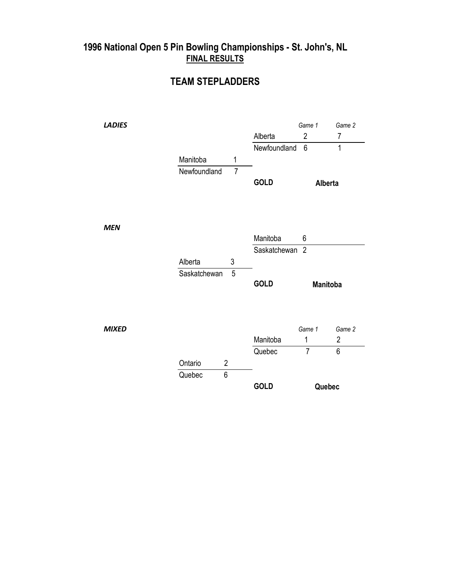#### **TEAM STEPLADDERS**

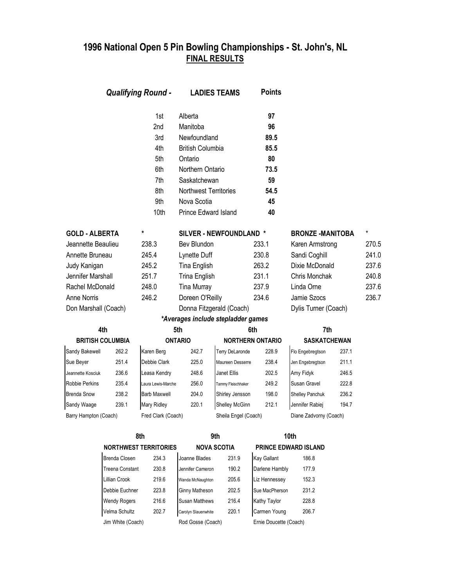| <b>Qualifying Round -</b> |                         |                              | <b>LADIES TEAMS</b>                | <b>Points</b>           |                         |                             |       |          |
|---------------------------|-------------------------|------------------------------|------------------------------------|-------------------------|-------------------------|-----------------------------|-------|----------|
|                           |                         | 1st                          | Alberta                            |                         | 97                      |                             |       |          |
|                           |                         | 2nd                          | Manitoba                           |                         | 96                      |                             |       |          |
|                           |                         | 3rd                          | Newfoundland                       |                         | 89.5                    |                             |       |          |
|                           |                         | 4th                          | <b>British Columbia</b>            |                         | 85.5                    |                             |       |          |
|                           |                         | 5th                          | Ontario                            |                         | 80                      |                             |       |          |
|                           |                         | 6th                          | Northern Ontario                   |                         | 73.5                    |                             |       |          |
|                           |                         | 7th                          | Saskatchewan                       |                         | 59                      |                             |       |          |
|                           |                         | 8th                          | Northwest Territories              |                         | 54.5                    |                             |       |          |
|                           |                         | 9th                          | Nova Scotia                        |                         | 45                      |                             |       |          |
|                           |                         | 10th                         | Prince Edward Island               |                         | 40                      |                             |       |          |
| <b>GOLD - ALBERTA</b>     |                         | *                            |                                    | SILVER - NEWFOUNDLAND * |                         | <b>BRONZE -MANITOBA</b>     |       | $^\star$ |
| Jeannette Beaulieu        |                         | 238.3                        | Bev Blundon                        |                         | 233.1                   | Karen Armstrong             |       | 270.5    |
| Annette Bruneau           |                         | 245.4                        | Lynette Duff                       |                         | 230.8                   | Sandi Coghill               |       | 241.0    |
| Judy Kanigan              |                         | 245.2                        | Tina English                       |                         | 263.2                   | Dixie McDonald              |       | 237.6    |
| Jennifer Marshall         |                         | 251.7                        | <b>Trina English</b>               |                         | 231.1                   | Chris Monchak               |       | 240.8    |
| Rachel McDonald           |                         | 248.0                        | <b>Tina Murray</b>                 |                         | 237.9                   | Linda Orne                  |       | 237.6    |
| <b>Anne Norris</b>        |                         | 246.2                        | Doreen O'Reilly                    |                         | 234.6                   | Jamie Szocs                 |       | 236.7    |
| Don Marshall (Coach)      |                         |                              | Donna Fitzgerald (Coach)           |                         |                         | Dylis Turner (Coach)        |       |          |
|                           |                         |                              | *Averages include stepladder games |                         |                         |                             |       |          |
|                           | 4th                     |                              | 5th                                |                         | 6th                     | 7th                         |       |          |
|                           | <b>BRITISH COLUMBIA</b> |                              | <b>ONTARIO</b>                     |                         | <b>NORTHERN ONTARIO</b> | <b>SASKATCHEWAN</b>         |       |          |
| Sandy Bakewell            | 262.2                   | Karen Berg                   | 242.7                              | Terry DeLaronde         | 228.9                   | Flo Engebregtson            | 237.1 |          |
| Sue Beyer                 | 251.4                   | Debbie Clark                 | 225.0                              | Maureen Desserre        | 238.4                   | Jen Engebregtson            | 211.1 |          |
| Jeannette Kosciuk         | 236.6                   | Leasa Kendry                 | 248.6                              | Janet Ellis             | 202.5                   | Amy Fidyk                   | 246.5 |          |
| <b>Robbie Perkins</b>     | 235.4                   | Laura Lewis-Marche           | 256.0                              | Tammy Fleischhaker      | 249.2                   | Susan Gravel                | 222.8 |          |
| Brenda Snow               | 238.2                   | <b>Barb Maxwell</b>          | 204.0                              | Shirley Jensson         | 198.0                   | Shelley Panchuk             | 236.2 |          |
| Sandy Waage               | 239.1                   | Mary Ridley                  | 220.1                              | Shelley McGinn          | 212.1                   | Jennifer Rabiej             | 194.7 |          |
| Barry Hampton (Coach)     |                         | Fred Clark (Coach)           |                                    | Sheila Engel (Coach)    |                         | Diane Zadvorny (Coach)      |       |          |
|                           |                         | 8th                          |                                    | 9th                     |                         | 10th                        |       |          |
|                           |                         | <b>NORTHWEST TERRITORIES</b> |                                    | <b>NOVA SCOTIA</b>      |                         | <b>PRINCE EDWARD ISLAND</b> |       |          |
|                           | Brenda Closen           | 234.3                        | Joanne Blades                      | 231.9                   | Kay Gallant             | 186.8                       |       |          |
|                           | Treena Constant         | 230.8                        | Jennifer Cameron                   | 190.2                   | Darlene Hambly          | 177.9                       |       |          |
|                           | Lillian Crook           | 219.6                        | Wanda McNaughton                   | 205.6                   | Liz Hennessey           | 152.3                       |       |          |

| NURIHWESI IEKRIIUKIES |       | NUVA SUUTIA           |       | PRINCE EDWARD ISLA     |       |
|-----------------------|-------|-----------------------|-------|------------------------|-------|
| <b>Brenda Closen</b>  | 234.3 | Joanne Blades         | 231.9 | <b>Kay Gallant</b>     | 186.8 |
| Treena Constant       | 230.8 | Jennifer Cameron      | 190.2 | Darlene Hambly         | 177.9 |
| Lillian Crook         | 219.6 | Wanda McNaughton      | 205.6 | Liz Hennessey          | 152.3 |
| Debbie Euchner        | 223.8 | <b>Ginny Matheson</b> | 202.5 | Sue MacPherson         | 231.2 |
| Wendy Rogers          | 216.6 | <b>Susan Matthews</b> | 216.4 | Kathy Taylor           | 228.8 |
| Velma Schultz         | 202.7 | Carolyn Slauenwhite   | 220.1 | Carmen Young           | 206.7 |
| Jim White (Coach)     |       | Rod Gosse (Coach)     |       | Ernie Doucette (Coach) |       |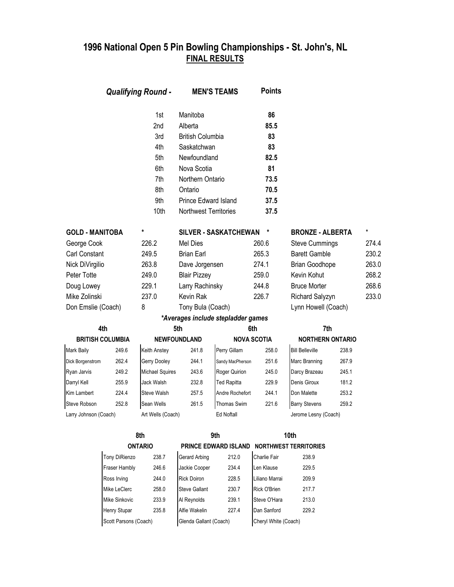|                        |                         | <b>Qualifying Round -</b> |                         | <b>MEN'S TEAMS</b>                 | <b>Points</b>      |                              |       |       |
|------------------------|-------------------------|---------------------------|-------------------------|------------------------------------|--------------------|------------------------------|-------|-------|
|                        |                         | 1st                       | Manitoba                |                                    | 86                 |                              |       |       |
|                        |                         | 2nd                       | Alberta                 |                                    | 85.5               |                              |       |       |
|                        |                         | 3rd                       | <b>British Columbia</b> |                                    | 83                 |                              |       |       |
|                        |                         | 4th                       | Saskatchwan             |                                    | 83                 |                              |       |       |
|                        |                         | 5th                       | Newfoundland            |                                    | 82.5               |                              |       |       |
|                        |                         | 6th                       | Nova Scotia             |                                    | 81                 |                              |       |       |
|                        |                         | 7th                       | Northern Ontario        |                                    | 73.5               |                              |       |       |
|                        |                         | 8th                       | Ontario                 |                                    | 70.5               |                              |       |       |
|                        |                         | 9th                       | Prince Edward Island    |                                    | 37.5               |                              |       |       |
|                        |                         | 10th                      | Northwest Territories   |                                    | 37.5               |                              |       |       |
| <b>GOLD - MANITOBA</b> |                         | *                         |                         | <b>SILVER - SASKATCHEWAN</b>       | *                  | <b>BRONZE - ALBERTA</b>      |       | *     |
| George Cook            |                         | 226.2                     | Mel Dies                |                                    | 260.6              | <b>Steve Cummings</b>        |       | 274.4 |
| <b>Carl Constant</b>   |                         | 249.5                     | <b>Brian Earl</b>       |                                    | 265.3              | <b>Barett Gamble</b>         |       | 230.2 |
| Nick DiVirgilio        |                         | 263.8                     | Dave Jorgensen          |                                    | 274.1              | <b>Brian Goodhope</b>        |       | 263.0 |
| Peter Totte            |                         | 249.0                     | <b>Blair Pizzey</b>     |                                    | 259.0              | Kevin Kohut                  |       | 268.2 |
| Doug Lowey             |                         | 229.1                     | Larry Rachinsky         |                                    | 244.8              | <b>Bruce Morter</b>          |       | 268.6 |
| Mike Zolinski          |                         | 237.0                     | Kevin Rak               |                                    | 226.7              | Richard Salyzyn              |       | 233.0 |
| Don Emslie (Coach)     |                         | 8                         | Tony Bula (Coach)       |                                    |                    | Lynn Howell (Coach)          |       |       |
|                        |                         |                           |                         | *Averages include stepladder games |                    |                              |       |       |
|                        | 4th                     |                           | 5th                     |                                    | 6th                | 7th                          |       |       |
|                        | <b>BRITISH COLUMBIA</b> |                           | <b>NEWFOUNDLAND</b>     |                                    | <b>NOVA SCOTIA</b> | <b>NORTHERN ONTARIO</b>      |       |       |
| Mark Baily             | 249.6                   | Keith Anstey              | 241.8                   | Perry Gillam                       | 258.0              | <b>Bill Belleville</b>       | 238.9 |       |
| Dick Borgenstrom       | 262.4                   | Gerry Dooley              | 244.1                   | Sandy MacPherson                   | 251.6              | Marc Branning                | 267.9 |       |
| Ryan Jarvis            | 249.2                   | <b>Michael Squires</b>    | 243.6                   | Roger Quirion                      | 245.0              | Darcy Brazeau                | 245.1 |       |
| Darryl Kell            | 255.9                   | Jack Walsh                | 232.8                   | Ted Rapitta                        | 229.9              | Denis Giroux                 | 181.2 |       |
| Kim Lambert            | 224.4                   | <b>Steve Walsh</b>        | 257.5                   | Andre Rochefort                    | 244.1              | Don Malette                  | 253.2 |       |
| <b>Steve Robson</b>    | 252.8                   | Sean Wells                | 261.5                   | <b>Thomas Swim</b>                 | 221.6              | <b>Barry Stevens</b>         | 259.2 |       |
| Larry Johnson (Coach)  |                         | Art Wells (Coach)         |                         | Ed Noftall                         |                    | Jerome Lesny (Coach)         |       |       |
|                        |                         | 8th                       |                         | 9th                                |                    | 10th                         |       |       |
|                        |                         | <b>ONTARIO</b>            |                         | PRINCE EDWARD ISLAND               |                    | <b>NORTHWEST TERRITORIES</b> |       |       |
|                        | Tony DiRienzo           | 238.7                     | Gerard Arbing           | 212.0                              | Charlie Fair       | 238.9                        |       |       |
|                        | Fraser Hambly           | 246.6                     | Jackie Cooper           | 234.4                              | Len Klause         | 229.5                        |       |       |
|                        | Ross Irving             | 244.0                     | <b>Rick Doiron</b>      | 228.5                              | Liliano Marrai     | 209.9                        |       |       |
|                        | Mike LeClerc            | 258.0                     | <b>Steve Gallant</b>    | 230.7                              | Rick O'Brien       | 217.7                        |       |       |
|                        | Mike Sinkovic           | 233.9                     | Al Reynolds             | 239.1                              | Steve O'Hara       | 213.0                        |       |       |

Henry Stupar 235.8 Alfie Wakelin 227.4 Dan Sanford 229.2 Scott Parsons (Coach) Glenda Gallant (Coach) Cheryl White (Coach)